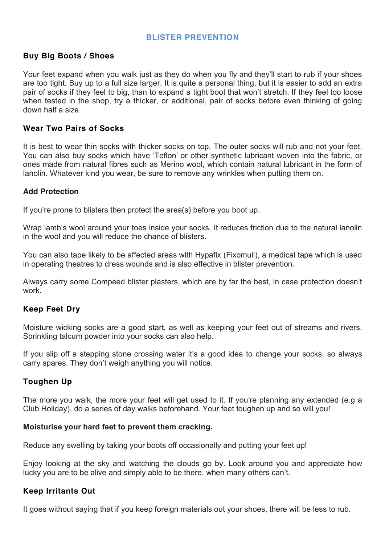# **BLISTER PREVENTION**

# **Buy Big Boots / Shoes**

Your feet expand when you walk just as they do when you fly and they'll start to rub if your shoes are too tight. Buy up to a full size larger. It is quite a personal thing, but it is easier to add an extra pair of socks if they feel to big, than to expand a tight boot that won't stretch. If they feel too loose when tested in the shop, try a thicker, or additional, pair of socks before even thinking of going down half a size.

### **Wear Two Pairs of Socks**

It is best to wear thin socks with thicker socks on top. The outer socks will rub and not your feet. You can also buy socks which have 'Teflon' or other synthetic lubricant woven into the fabric, or ones made from natural fibres such as Merino wool, which contain natural lubricant in the form of lanolin. Whatever kind you wear, be sure to remove any wrinkles when putting them on.

### **Add Protection**

If you're prone to blisters then protect the area(s) before you boot up.

Wrap lamb's wool around your toes inside your socks. It reduces friction due to the natural lanolin in the wool and you will reduce the chance of blisters.

You can also tape likely to be affected areas with Hypafix (Fixomull), a medical tape which is used in operating theatres to dress wounds and is also effective in blister prevention.

Always carry some Compeed blister plasters, which are by far the best, in case protection doesn't work.

# **Keep Feet Dry**

Moisture wicking socks are a good start, as well as keeping your feet out of streams and rivers. Sprinkling talcum powder into your socks can also help.

If you slip off a stepping stone crossing water it's a good idea to change your socks, so always carry spares. They don't weigh anything you will notice.

# **Toughen Up**

The more you walk, the more your feet will get used to it. If you're planning any extended (e.g a Club Holiday), do a series of day walks beforehand. Your feet toughen up and so will you!

#### **Moisturise your hard feet to prevent them cracking.**

Reduce any swelling by taking your boots off occasionally and putting your feet up!

Enjoy looking at the sky and watching the clouds go by. Look around you and appreciate how lucky you are to be alive and simply able to be there, when many others can't.

# **Keep Irritants Out**

It goes without saying that if you keep foreign materials out your shoes, there will be less to rub.